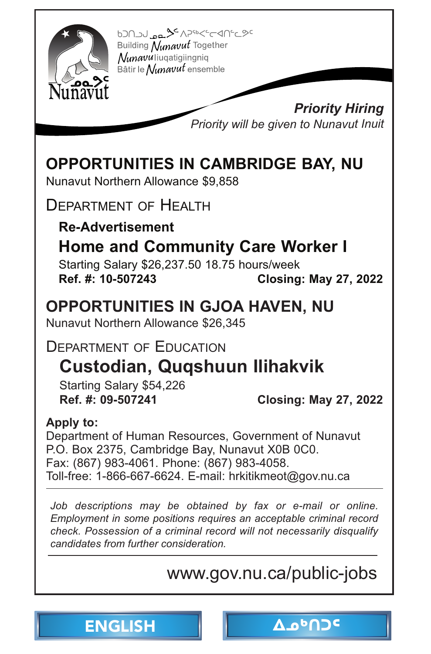<span id="page-0-0"></span>

620123-34/2565/2601 Building Nunavut Together Nunavuliuqatigiingniq Bâtir le Nunavut ensemble

> *Priority Hiring Priority will be given to Nunavut Inuit*

# **[OPPORTUNITIES IN CAMBRIDGE BAY, NU](http://www.gov.nu.ca/public-jobs)**

Nunavut Northern Allowance \$9,858

DEPARTMENT OF HEALTH

**Re-Advertisement**

## **Home and Community Care Worker I**

Starting Salary \$26,237.50 18.75 hours/week **Ref. #: 10-507243 Closing: May 27, 2022** 

### **OPPORTUNITIES IN GJOA HAVEN, NU**

Nunavut Northern Allowance \$26,345

### DEPARTMENT OF EDUCATION

# **Custodian, Quqshuun Ilihakvik**

Starting Salary \$54,226

**Ref. #: 09-507241 Closing: May 27, 2022** 

#### **Apply to:**

Department of Human Resources, Government of Nunavut P.O. Box 2375, Cambridge Bay, Nunavut X0B 0C0. Fax: (867) 983-4061. Phone: (867) 983-4058. Toll-free: 1-866-667-6624. E-mail: hrkitikmeot@gov.nu.ca

Job descriptions may be obtained by fax or e-mail or online. *Employment in some positions requires an acceptable criminal record check. Possession of a criminal record will not necessarily disqualify candidates from further consideration.*

# www.gov.nu.ca/public-jobs